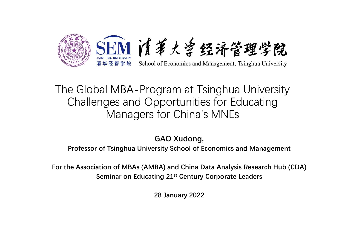

## The Global MBA-Program at Tsinghua University Challenges and Opportunities for Educating Managers for China's MNEs **Principle of ACCLUM ACCLUM ACCLUM ACCLUM**<br>
PROFESSOR School of Economics and Management, Tsinghua University<br>
Challenges and Opportunities for Educating<br>
Managers for China's MNEs<br>
GAO Xudong,<br>
Professor of Tsinghua Univ grammate coming that contracting<br>portunities for Educating<br>640 Xudong,<br>ersity School of Economics and Management<br>BA) and China Data Analysis Research Hub (CDA)<br>ing 21<sup>st</sup> Century Corporate Leaders<br>28 January 2022

GAO Xudong,

For the Association of MBAs (AMBA) and China Data Analysis Research Hub (CDA) Seminar on Educating 21st Century Corporate Leaders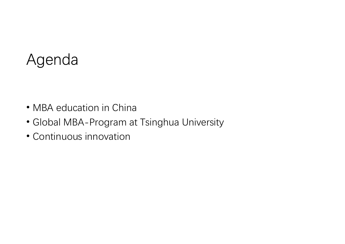#### Agenda

- MBA education in China
- Global MBA-Program at Tsinghua University
- Continuous innovation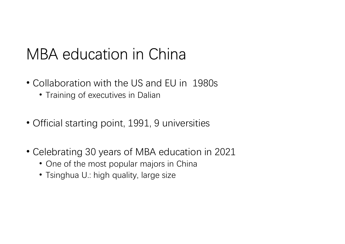#### MBA education in China

- Collaboration with the US and EU in 1980s
	- Training of executives in Dalian
- Official starting point, 1991, 9 universities
- Celebrating 30 years of MBA education in 2021
	- One of the most popular majors in China
	- Tsinghua U.: high quality, large size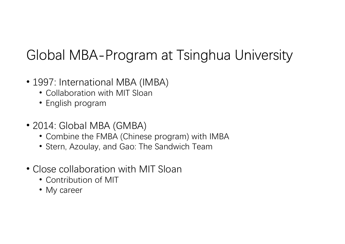#### Global MBA-Program at Tsinghua University

- 1997: International MBA (IMBA)
	- Collaboration with MIT Sloan
	- English program
- 2014: Global MBA (GMBA)
	- Combine the FMBA (Chinese program) with IMBA
	- Stern, Azoulay, and Gao: The Sandwich Team
- Close collaboration with MIT Sloan
	- Contribution of MIT
	- My career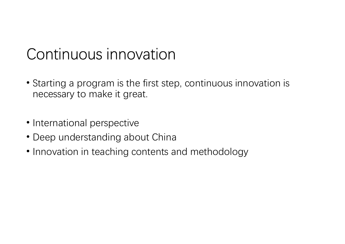#### Continuous innovation

- Starting a program is the first step, continuous innovation is necessary to make it great.
- International perspective
- Deep understanding about China
- Innovation in teaching contents and methodology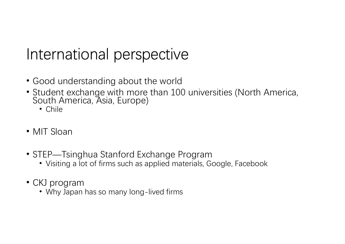#### International perspective

- Good understanding about the world
- Student exchange with more than 100 universities (North America, South America, Asia, Europe)
	- Chile
- MIT Sloan
- STEP—Tsinghua Stanford Exchange Program
	- Visiting a lot of firms such as applied materials, Google, Facebook
- CKJ program
	- Why Japan has so many long-lived firms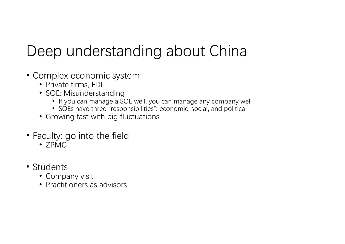### Deep understanding about China

- Complex economic system
	- Private firms, FDI
	- SOE: Misunderstanding
		- If you can manage a SOE well, you can manage any company well
		- SOEs have three "responsibilities": economic, social, and political
	- Growing fast with big fluctuations
- Faculty: go into the field
	- ZPMC
- Students
	- Company visit
	- Practitioners as advisors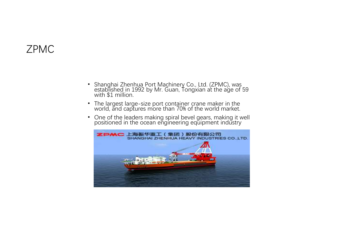#### ZPMC

- Shanghai Zhenhua Port Machinery Co., Ltd. (ZPMC), was<br>established in 1992 by Mr. Guan, Tongxian at the age of 59<br>world, and captures more concinent crane maker in the<br>vord, and captures more to than 70% of the world mar
- 
- 

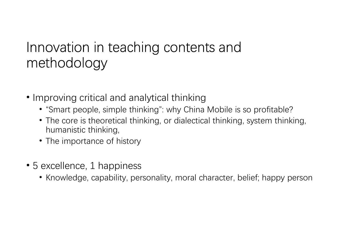# Innovation in teaching contents and methodology ovation in teaching contents a<br>thodology<br>proving critical and analytical thinking<br>"Smart people, simple thinking": why China Mok<br>The core is theoretical thinking, or dialectical thin<br>humanistic thinking,<br>The importance of

- Improving critical and analytical thinking
	- "Smart people, simple thinking": why China Mobile is so profitable?
	- The core is theoretical thinking, or dialectical thinking, system thinking,
	- The importance of history
- 5 excellence, 1 happiness
	- Knowledge, capability, personality, moral character, belief; happy person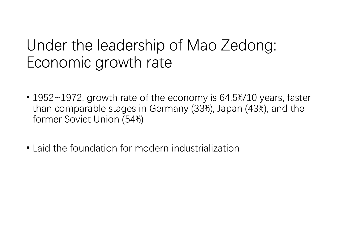#### Under the leadership of Mao Zedong: Economic growth rate

- 1952~1972, growth rate of the economy is 64.5%/10 years, faster than comparable stages in Germany (33%), Japan (43%), and the former Soviet Union (54%)
- Laid the foundation for modern industrialization